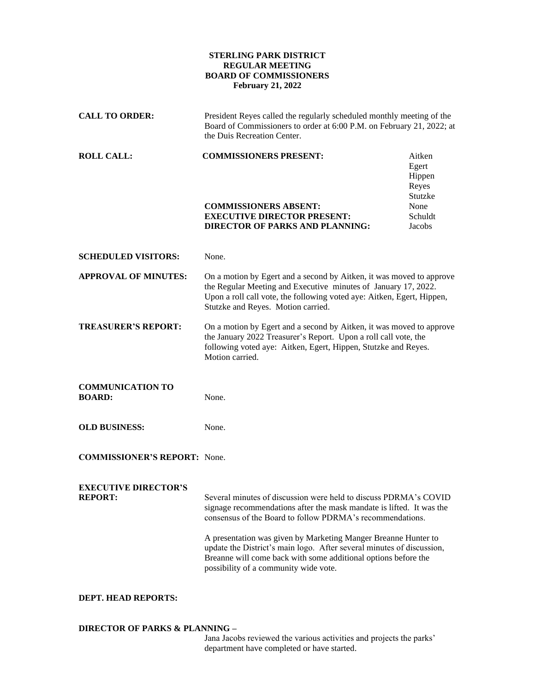## **STERLING PARK DISTRICT REGULAR MEETING BOARD OF COMMISSIONERS February 21, 2022**

| <b>CALL TO ORDER:</b>                         | President Reyes called the regularly scheduled monthly meeting of the<br>Board of Commissioners to order at 6:00 P.M. on February 21, 2022; at<br>the Duis Recreation Center.                                                                                                                                                                                                                                                                               |                                                                            |
|-----------------------------------------------|-------------------------------------------------------------------------------------------------------------------------------------------------------------------------------------------------------------------------------------------------------------------------------------------------------------------------------------------------------------------------------------------------------------------------------------------------------------|----------------------------------------------------------------------------|
| <b>ROLL CALL:</b>                             | <b>COMMISSIONERS PRESENT:</b><br><b>COMMISSIONERS ABSENT:</b><br><b>EXECUTIVE DIRECTOR PRESENT:</b><br><b>DIRECTOR OF PARKS AND PLANNING:</b>                                                                                                                                                                                                                                                                                                               | Aitken<br>Egert<br>Hippen<br>Reyes<br>Stutzke<br>None<br>Schuldt<br>Jacobs |
| <b>SCHEDULED VISITORS:</b>                    | None.                                                                                                                                                                                                                                                                                                                                                                                                                                                       |                                                                            |
| <b>APPROVAL OF MINUTES:</b>                   | On a motion by Egert and a second by Aitken, it was moved to approve<br>the Regular Meeting and Executive minutes of January 17, 2022.<br>Upon a roll call vote, the following voted aye: Aitken, Egert, Hippen,<br>Stutzke and Reyes. Motion carried.                                                                                                                                                                                                      |                                                                            |
| <b>TREASURER'S REPORT:</b>                    | On a motion by Egert and a second by Aitken, it was moved to approve<br>the January 2022 Treasurer's Report. Upon a roll call vote, the<br>following voted aye: Aitken, Egert, Hippen, Stutzke and Reyes.<br>Motion carried.                                                                                                                                                                                                                                |                                                                            |
| <b>COMMUNICATION TO</b><br><b>BOARD:</b>      | None.                                                                                                                                                                                                                                                                                                                                                                                                                                                       |                                                                            |
| <b>OLD BUSINESS:</b>                          | None.                                                                                                                                                                                                                                                                                                                                                                                                                                                       |                                                                            |
| <b>COMMISSIONER'S REPORT:</b> None.           |                                                                                                                                                                                                                                                                                                                                                                                                                                                             |                                                                            |
| <b>EXECUTIVE DIRECTOR'S</b><br><b>REPORT:</b> | Several minutes of discussion were held to discuss PDRMA's COVID<br>signage recommendations after the mask mandate is lifted. It was the<br>consensus of the Board to follow PDRMA's recommendations.<br>A presentation was given by Marketing Manger Breanne Hunter to<br>update the District's main logo. After several minutes of discussion,<br>Breanne will come back with some additional options before the<br>possibility of a community wide vote. |                                                                            |

## **DEPT. HEAD REPORTS:**

## **DIRECTOR OF PARKS & PLANNING –**

Jana Jacobs reviewed the various activities and projects the parks' department have completed or have started.